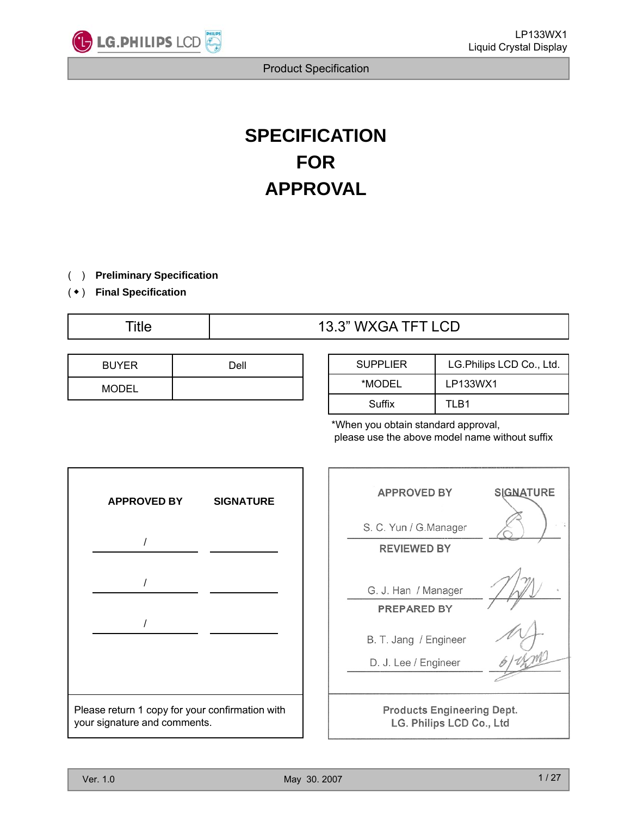

# **SPECIFICATION FOR APPROVAL**

( ) **Preliminary Specification**

( ◆ ) **Final Specification**

## Title  $13.3$ " WXGA TFT LCD

| <b>BUYER</b> | Dell |
|--------------|------|
| <b>MODEL</b> |      |

| <b>SUPPLIER</b> | LG. Philips LCD Co., Ltd. |
|-----------------|---------------------------|
| *MODEL          | LP133WX1                  |
| Suffix          | TI R1                     |

\*When you obtain standard approval, please use the above model name without suffix

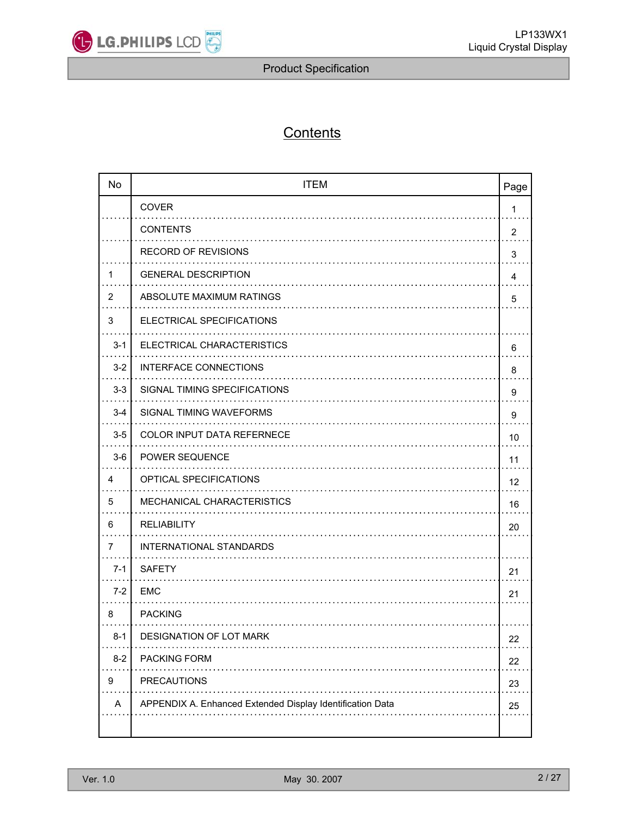

## **Contents**

| <b>No</b> | <b>ITEM</b>                                               | Page |
|-----------|-----------------------------------------------------------|------|
|           | <b>COVER</b>                                              | 1    |
|           | <b>CONTENTS</b>                                           | 2    |
|           | <b>RECORD OF REVISIONS</b>                                | 3    |
| 1         | <b>GENERAL DESCRIPTION</b>                                | 4    |
| 2         | ABSOLUTE MAXIMUM RATINGS                                  | 5    |
| 3         | ELECTRICAL SPECIFICATIONS                                 |      |
| $3 - 1$   | ELECTRICAL CHARACTERISTICS                                | 6    |
| $3 - 2$   | <b>INTERFACE CONNECTIONS</b>                              | 8    |
| $3-3$     | SIGNAL TIMING SPECIFICATIONS                              | 9    |
| $3 - 4$   | SIGNAL TIMING WAVEFORMS                                   | 9    |
| $3-5$     | COLOR INPUT DATA REFERNECE                                | 10   |
| $3-6$     | POWER SEQUENCE                                            | 11   |
| 4         | OPTICAL SPECIFICATIONS                                    | 12   |
| 5         | MECHANICAL CHARACTERISTICS                                | 16   |
| 6         | <b>RELIABILITY</b>                                        | 20   |
| 7         | <b>INTERNATIONAL STANDARDS</b>                            |      |
| $7-1$     | <b>SAFETY</b>                                             | 21   |
| $7-2$     | <b>EMC</b>                                                | 21   |
| 8         | <b>PACKING</b>                                            |      |
| $8 - 1$   | DESIGNATION OF LOT MARK                                   | 22   |
| $8 - 2$   | PACKING FORM                                              | 22   |
| 9         | PRECAUTIONS                                               | 23   |
| A         | APPENDIX A. Enhanced Extended Display Identification Data | 25   |
|           |                                                           |      |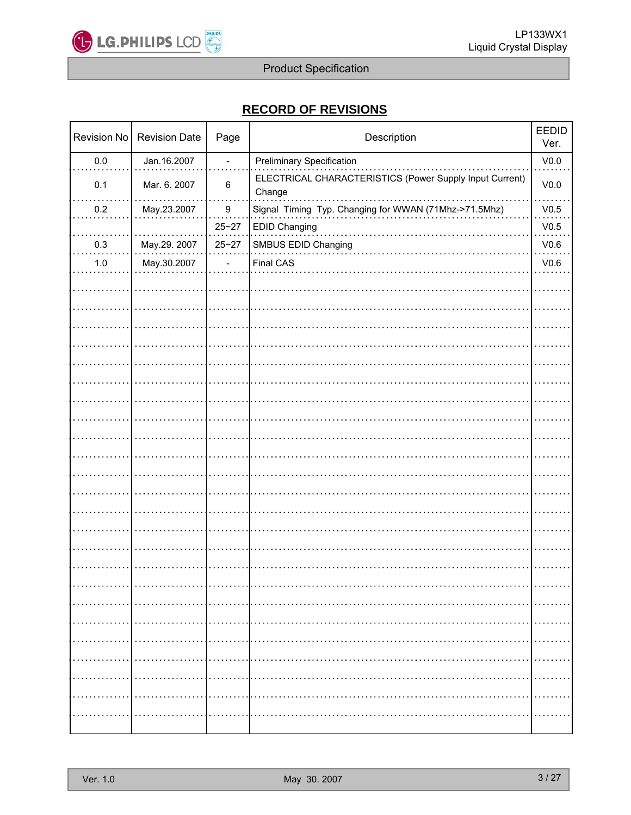

## **RECORD OF REVISIONS RECORD OF REVISIONS**

| Revision No | <b>Revision Date</b> | Page                     | Description                                                       | <b>EEDID</b><br>Ver. |
|-------------|----------------------|--------------------------|-------------------------------------------------------------------|----------------------|
| $0.0\,$     | Jan.16.2007          | $\overline{a}$           | <b>Preliminary Specification</b>                                  | V <sub>0.0</sub>     |
| 0.1         | Mar. 6. 2007         | $\,6$                    | ELECTRICAL CHARACTERISTICS (Power Supply Input Current)<br>Change | V <sub>0.0</sub>     |
| $0.2\,$     | May.23.2007          | $\boldsymbol{9}$         | Signal Timing Typ. Changing for WWAN (71Mhz->71.5Mhz)             | V0.5                 |
|             |                      | $25 - 27$                | <b>EDID Changing</b>                                              | V0.5                 |
| 0.3         | May.29. 2007         | $25 - 27$                | SMBUS EDID Changing                                               | V0.6                 |
| $1.0$       | May.30.2007          | $\overline{\phantom{0}}$ | Final CAS                                                         | V0.6                 |
|             |                      |                          |                                                                   |                      |
|             |                      |                          |                                                                   |                      |
|             |                      |                          |                                                                   |                      |
|             |                      |                          |                                                                   |                      |
|             |                      |                          |                                                                   |                      |
|             |                      |                          |                                                                   |                      |
|             |                      |                          |                                                                   |                      |
|             |                      |                          |                                                                   |                      |
|             |                      |                          |                                                                   |                      |
|             |                      |                          |                                                                   |                      |
|             |                      |                          |                                                                   |                      |
|             |                      |                          |                                                                   |                      |
|             |                      |                          |                                                                   |                      |
|             |                      |                          |                                                                   |                      |
|             |                      |                          |                                                                   |                      |
|             |                      |                          |                                                                   |                      |
|             |                      |                          |                                                                   |                      |
|             |                      |                          |                                                                   |                      |
|             |                      |                          |                                                                   |                      |
|             |                      |                          |                                                                   |                      |
|             |                      |                          |                                                                   |                      |
|             |                      |                          |                                                                   |                      |
|             |                      |                          |                                                                   |                      |
|             |                      |                          |                                                                   |                      |
|             |                      |                          |                                                                   |                      |
|             |                      |                          |                                                                   |                      |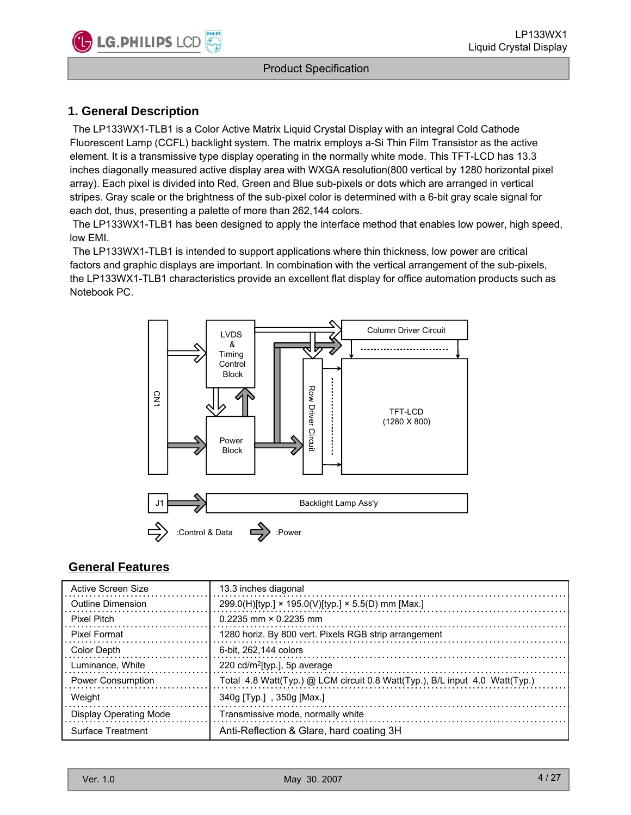## **1. General Description**

The LP133WX1-TLB1 is a Color Active Matrix Liquid Crystal Display with an integral Cold Cathode Fluorescent Lamp (CCFL) backlight system. The matrix employs a-Si Thin Film Transistor as the active element. It is a transmissive type display operating in the normally white mode. This TFT-LCD has 13.3 inches diagonally measured active display area with WXGA resolution(800 vertical by 1280 horizontal pixel array). Each pixel is divided into Red, Green and Blue sub-pixels or dots which are arranged in vertical stripes. Gray scale or the brightness of the sub-pixel color is determined with a 6-bit gray scale signal for each dot, thus, presenting a palette of more than 262,144 colors.

The LP133WX1-TLB1 has been designed to apply the interface method that enables low power, high speed, low EMI.

The LP133WX1-TLB1 is intended to support applications where thin thickness, low power are critical factors and graphic displays are important. In combination with the vertical arrangement of the sub-pixels, the LP133WX1-TLB1 characteristics provide an excellent flat display for office automation products such as Notebook PC.



### **General Features**

| Active Screen Size            | 13.3 inches diagonal                                                        |
|-------------------------------|-----------------------------------------------------------------------------|
| Outline Dimension             | 299.0(H)[typ.] $\times$ 195.0(V)[typ.] $\times$ 5.5(D) mm [Max.]            |
| Pixel Pitch                   | $0.2235$ mm $\times$ 0.2235 mm                                              |
| <b>Pixel Format</b>           | 1280 horiz. By 800 vert. Pixels RGB strip arrangement                       |
| <b>Color Depth</b>            | 6-bit. 262.144 colors                                                       |
| Luminance, White              | 220 cd/m <sup>2</sup> [typ.], 5p average                                    |
| <b>Power Consumption</b>      | Total 4.8 Watt(Typ.) @ LCM circuit 0.8 Watt(Typ.), B/L input 4.0 Watt(Typ.) |
| Weight                        | 340g [Typ.], 350g [Max.]                                                    |
| <b>Display Operating Mode</b> | Transmissive mode, normally white                                           |
| Surface Treatment             | Anti-Reflection & Glare, hard coating 3H                                    |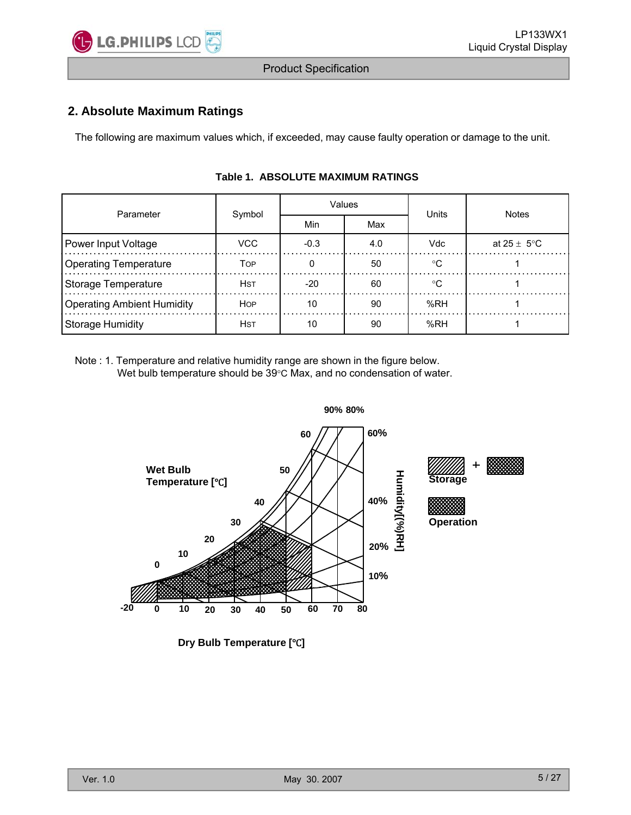

## **2. Absolute Maximum Ratings**

The following are maximum values which, if exceeded, may cause faulty operation or damage to the unit.

| Parameter                         | Symbol     |            | Values | <b>Units</b> | <b>Notes</b>    |  |  |
|-----------------------------------|------------|------------|--------|--------------|-----------------|--|--|
|                                   |            | Min<br>Max |        |              |                 |  |  |
| Power Input Voltage               | VCC        | $-0.3$     | 4.0    | <b>Vdc</b>   | at 25 $\pm$ 5°C |  |  |
| <b>Operating Temperature</b>      | TOP        |            | 50     | $^{\circ}$ C |                 |  |  |
| Storage Temperature               | <b>HST</b> | $-20$      | 60     | ം            |                 |  |  |
| <b>Operating Ambient Humidity</b> | <b>HOP</b> | 10         | 90     | %RH          |                 |  |  |
| Storage Humidity                  | <b>HST</b> | 10         | 90     | %RH          |                 |  |  |

#### **Table 1. ABSOLUTE MAXIMUM RATINGS**

Note : 1. Temperature and relative humidity range are shown in the figure below. Wet bulb temperature should be 39°C Max, and no condensation of water.



**Dry Bulb Temperature [°C]**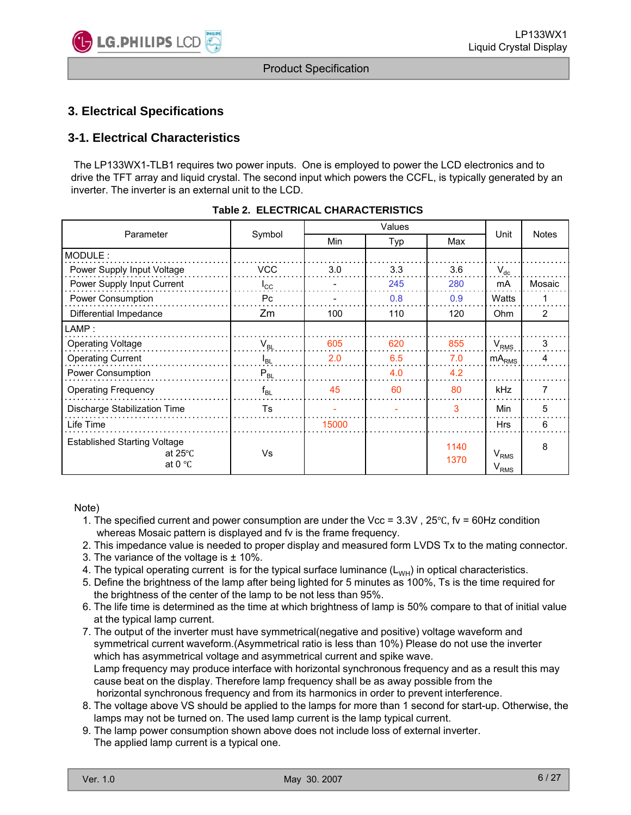

## **3. Electrical Specifications**

## **3-1. Electrical Characteristics**

The LP133WX1-TLB1 requires two power inputs. One is employed to power the LCD electronics and to drive the TFT array and liquid crystal. The second input which powers the CCFL, is typically generated by an inverter. The inverter is an external unit to the LCD.

| Parameter                                                                    | Symbol          | Min   | Typ | Max          | Unit                          | <b>Notes</b>   |
|------------------------------------------------------------------------------|-----------------|-------|-----|--------------|-------------------------------|----------------|
| MODULE:                                                                      |                 |       |     |              |                               |                |
| Power Supply Input Voltage                                                   | <b>VCC</b>      | 3.0   | 3.3 | 3.6          | $V_{dc}$                      |                |
| Power Supply Input Current                                                   | $I_{\rm CC}$    |       | 245 | 280          | mA                            | Mosaic         |
| Power Consumption                                                            | Pc.             |       | 0.8 | 0.9          | Watts                         |                |
| Differential Impedance                                                       | Zm              | 100   | 110 | 120          | <b>Ohm</b>                    | $\overline{2}$ |
| LAMP:                                                                        |                 |       |     |              |                               |                |
| <b>Operating Voltage</b>                                                     | $V_{BL}$        | 605   | 620 | 855          | V <sub>RMS</sub>              | 3              |
| <b>Operating Current</b>                                                     | l <sub>BL</sub> | 2.0   | 6.5 | 7.0          | mA <sub>RMS</sub>             | Δ              |
| Power Consumption                                                            | $P_{BL}$        |       | 4.0 | 4.2          |                               |                |
| <b>Operating Frequency</b>                                                   | $f_{BL}$        | 45    | 60  | 80           | kHz                           | 7              |
| Discharge Stabilization Time                                                 | Ts              |       |     | 3            | Min                           | 5              |
| Life Time                                                                    |                 | 15000 |     |              | <b>Hrs</b>                    | 6              |
| <b>Established Starting Voltage</b><br>at $25^{\circ}$ C<br>at 0 $\degree$ C | Vs              |       |     | 1140<br>1370 | V <sub>RMS</sub><br>$V_{RMS}$ | 8              |

| Table 2. ELECTRICAL CHARACTERISTICS |  |  |  |
|-------------------------------------|--|--|--|
|-------------------------------------|--|--|--|

Note)

- 1. The specified current and power consumption are under the Vcc =  $3.3V$ ,  $25^{\circ}$ C, fv = 60Hz condition whereas Mosaic pattern is displayed and fv is the frame frequency.
- 2. This impedance value is needed to proper display and measured form LVDS Tx to the mating connector.
- 3. The variance of the voltage is ± 10%.
- 4. The typical operating current is for the typical surface luminance  $(L_{WH})$  in optical characteristics.
- 5. Define the brightness of the lamp after being lighted for 5 minutes as 100%, Ts is the time required for the brightness of the center of the lamp to be not less than 95%.
- 6. The life time is determined as the time at which brightness of lamp is 50% compare to that of initial value at the typical lamp current.
- 7. The output of the inverter must have symmetrical(negative and positive) voltage waveform and symmetrical current waveform.(Asymmetrical ratio is less than 10%) Please do not use the inverter which has asymmetrical voltage and asymmetrical current and spike wave. Lamp frequency may produce interface with horizontal synchronous frequency and as a result this may cause beat on the display. Therefore lamp frequency shall be as away possible from the horizontal synchronous frequency and from its harmonics in order to prevent interference.
- 8. The voltage above VS should be applied to the lamps for more than 1 second for start-up. Otherwise, the 8. The voltage above VS should be applied to the lamps for more than 1 second for start up. Otherwise, lamps may not be turned on. The used lamp current is the lamp typical current.
- 9. The lamp power consumption shown above does not include loss of external inverter. The applied lamp current is a typical one.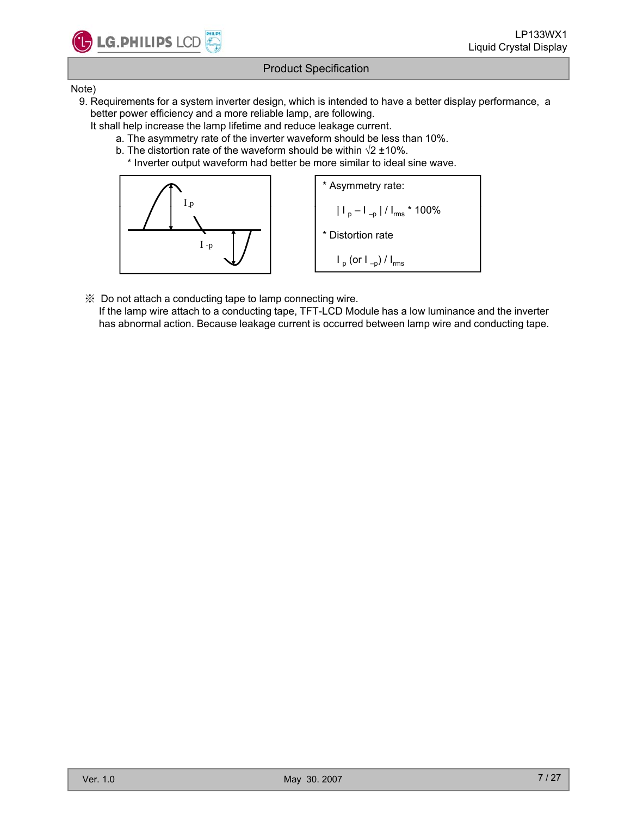

#### Note)

- 9. Requirements for a system inverter design, which is intended to have a better display performance, a better power efficiency and a more reliable lamp, are following.
	- It shall help increase the lamp lifetime and reduce leakage current.
		- a. The asymmetry rate of the inverter waveform should be less than 10%.
		- b. The distortion rate of the waveform should be within  $\sqrt{2} \pm 10\%$ .
			- \* Inverter output waveform had better be more similar to ideal sine wave.



※ Do not attach a conducting tape to lamp connecting wire.

If the lamp wire attach to a conducting tape, TFT-LCD Module has a low luminance and the inverter has abnormal action. Because leakage current is occurred between lamp wire and conducting tape.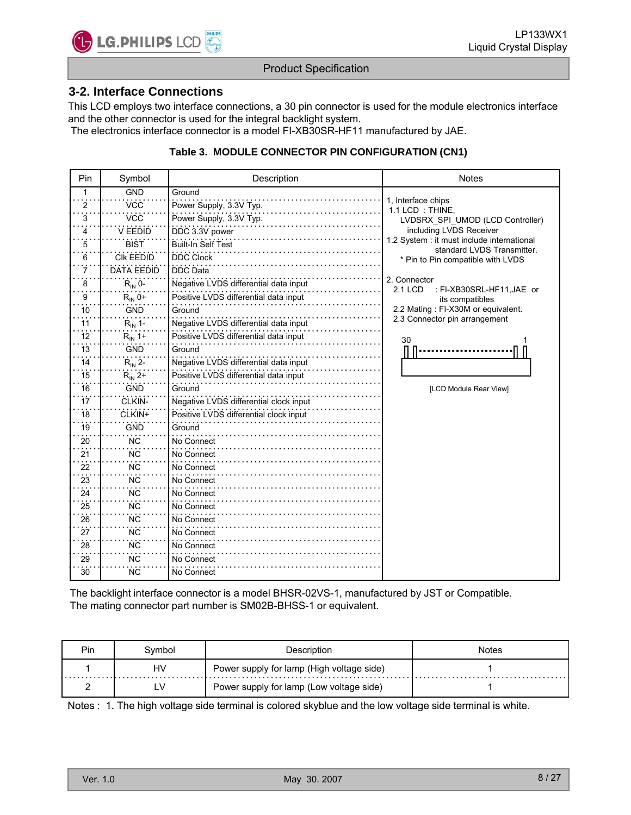

#### **3-2. Interface Connections**

This LCD employs two interface connections, a 30 pin connector is used for the module electronics interface and the other connector is used for the integral backlight system.

The electronics interface connector is a model FI-XB30SR-HF11 manufactured by JAE.

#### **Table 3. MODULE CONNECTOR PIN CONFIGURATION (CN1)**

| Pin | Symbol            | Description                            | <b>Notes</b>                                                             |
|-----|-------------------|----------------------------------------|--------------------------------------------------------------------------|
| 1   | <b>GND</b>        | Ground                                 |                                                                          |
| 2   | <b>VCC</b>        | Power Supply, 3.3V Typ.                | 1. Interface chips<br>1.1 LCD: THINE.                                    |
| 3   | <b>VCC</b>        | Power Supply, 3.3V Typ.                | LVDSRX_SPI_UMOD (LCD Controller)                                         |
| 4   | V EEDID           | DDC 3.3V power                         | including LVDS Receiver                                                  |
| 5   | <b>BIST</b>       | <b>Built-In Self Test</b>              | 1.2 System : it must include international<br>standard LVDS Transmitter. |
| 6   | <b>CIK EEDID</b>  | <b>DDC Clock</b>                       | * Pin to Pin compatible with LVDS                                        |
| 7   | <b>DATA EEDID</b> | <b>DDC</b> Data                        |                                                                          |
| 8   | $R_{IN}$ 0-       | Negative LVDS differential data input  | 2. Connector<br>2.1 LCD<br>: FI-XB30SRL-HF11,JAE or                      |
| 9   | $R_{IN}$ 0+       | Positive LVDS differential data input  | its compatibles                                                          |
| 10  | <b>GND</b>        | Ground                                 | 2.2 Mating: FI-X30M or equivalent.                                       |
| 11  | $R_{IN}$ 1-       | Negative LVDS differential data input  | 2.3 Connector pin arrangement                                            |
| 12  | $R_{IN}$ 1+       | Positive LVDS differential data input  | 30                                                                       |
| 13  | <b>GND</b>        | Ground                                 |                                                                          |
| 14  | $R_{IN}$ 2-       | Negative LVDS differential data input  |                                                                          |
| 15  | $R_{IN}$ 2+       | Positive LVDS differential data input  |                                                                          |
| 16  | <b>GND</b>        | Ground                                 | [LCD Module Rear View]                                                   |
| 17  | CLKIN-            | Negative LVDS differential clock input |                                                                          |
| 18  | CLKIN+            | Positive LVDS differential clock input |                                                                          |
| 19  | <b>GND</b>        | Ground                                 |                                                                          |
| 20  | <b>NC</b>         | No Connect                             |                                                                          |
| 21  | <b>NC</b>         | No Connect                             |                                                                          |
| 22  | <b>NC</b>         | No Connect                             |                                                                          |
| 23  | <b>NC</b>         | No Connect                             |                                                                          |
| 24  | <b>NC</b>         | No Connect                             |                                                                          |
| 25  | <b>NC</b>         | No Connect                             |                                                                          |
| 26  | <b>NC</b>         | No Connect                             |                                                                          |
| 27  | <b>NC</b>         | No Connect                             |                                                                          |
| 28  | <b>NC</b>         | No Connect                             |                                                                          |
| 29  | <b>NC</b>         | No Connect                             |                                                                          |
| 30  | <b>NC</b>         | No Connect                             |                                                                          |

The backlight interface connector is a model BHSR-02VS-1, manufactured by JST or Compatible. The mating connector part number is SM02B-BHSS-1 or equivalent.

| Pin | Svmbol | Description                               | Notes |
|-----|--------|-------------------------------------------|-------|
|     | H٧     | Power supply for lamp (High voltage side) |       |
|     |        | Power supply for lamp (Low voltage side)  |       |

Notes : 1. The high voltage side terminal is colored skyblue and the low voltage side terminal is white.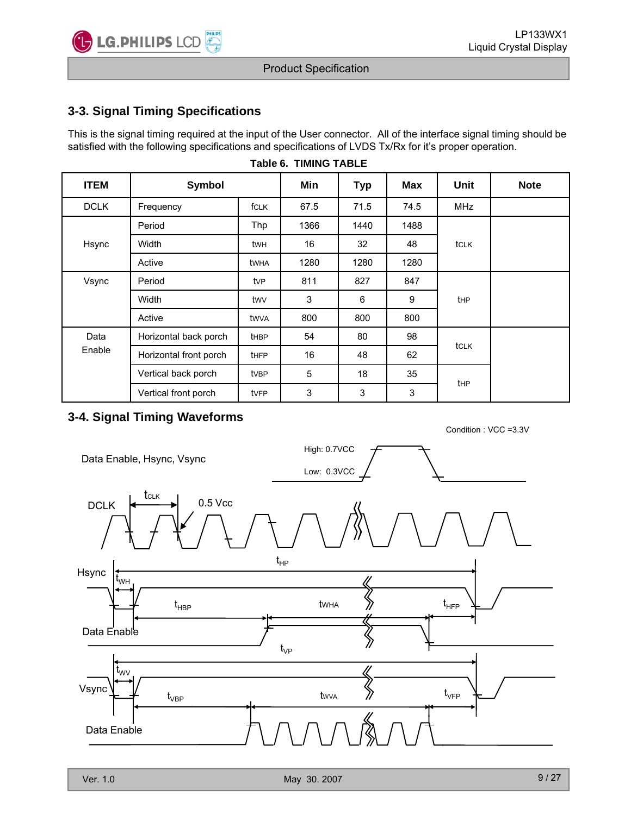

## **3-3. Signal Timing Specifications**

This is the signal timing required at the input of the User connector. All of the interface signal timing should be satisfied with the following specifications and specifications of LVDS Tx/Rx for it's proper operation.

| <b>ITEM</b> | Symbol                 |              | Min  | <b>Typ</b> | Max  | Unit            | <b>Note</b> |
|-------------|------------------------|--------------|------|------------|------|-----------------|-------------|
| <b>DCLK</b> | Frequency              | <b>f</b> CLK | 67.5 | 71.5       | 74.5 | <b>MHz</b>      |             |
|             | Period                 | Thp          | 1366 | 1440       | 1488 |                 |             |
| Hsync       | Width                  | twh          | 16   | 32         | 48   | tclk            |             |
|             | Active                 | twha         | 1280 | 1280       | 1280 |                 |             |
| Vsync       | Period                 | tvP          | 811  | 827        | 847  |                 |             |
|             | Width                  |              | 3    | 6          | 9    | tHP             |             |
|             | Active                 | twva         | 800  | 800        | 800  |                 |             |
| Data        | Horizontal back porch  | <b>t</b> HBP | 54   | 80         | 98   | tclk            |             |
| Enable      | Horizontal front porch | <b>tHFP</b>  | 16   | 48         | 62   |                 |             |
|             | Vertical back porch    | tvBP         | 5    | 18         | 35   | t <sub>HP</sub> |             |
|             | Vertical front porch   | tvFP         | 3    | 3          | 3    |                 |             |

#### **Table 6. TIMING TABLE**

## **3-4. Signal Timing Waveforms**

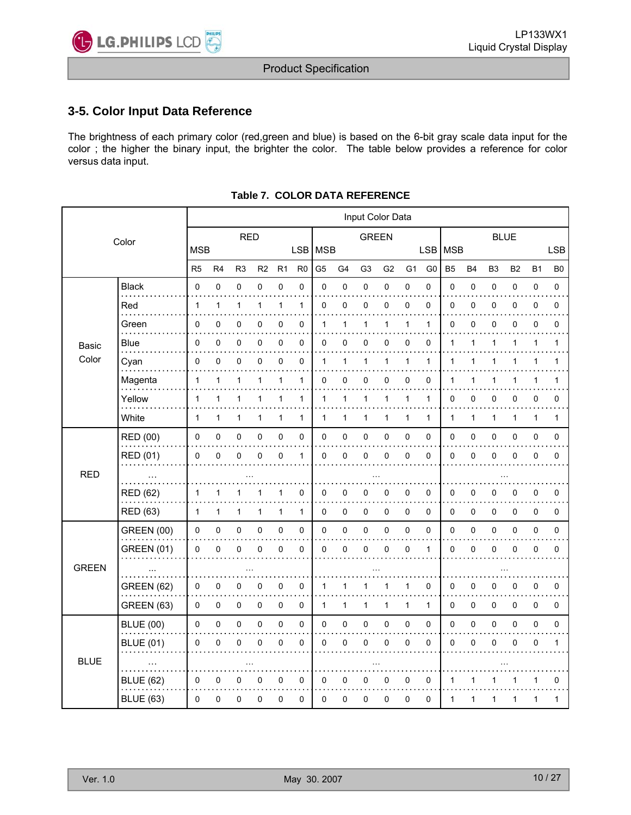

## **3-5. Color Input Data Reference**

The brightness of each primary color (red,green and blue) is based on the 6-bit gray scale data input for the color ; the higher the binary input, the brighter the color. The table below provides a reference for color versus data input.

|              |                   | Input Color Data |              |                |              |              |                |                |                |                |                |                |                |             |           |                |              |              |                |
|--------------|-------------------|------------------|--------------|----------------|--------------|--------------|----------------|----------------|----------------|----------------|----------------|----------------|----------------|-------------|-----------|----------------|--------------|--------------|----------------|
|              | Color             | <b>RED</b>       |              |                |              | <b>GREEN</b> |                |                |                |                |                |                | <b>BLUE</b>    |             |           |                |              |              |                |
|              |                   | <b>MSB</b>       |              |                |              |              | LSB MSB        |                |                |                |                |                |                | LSB MSB     |           |                |              |              | <b>LSB</b>     |
|              |                   | R <sub>5</sub>   | R4           | R <sub>3</sub> | R2           | R1           | R <sub>0</sub> | G <sub>5</sub> | G <sub>4</sub> | G <sub>3</sub> | G <sub>2</sub> | G <sub>1</sub> | G <sub>0</sub> | <b>B5</b>   | <b>B4</b> | B <sub>3</sub> | <b>B2</b>    | <b>B1</b>    | B <sub>0</sub> |
|              | Black<br>.        | 0                | 0            | 0              | 0            | 0            | 0              | $\mathbf 0$    | 0              | 0              | 0              | 0              | 0              | 0           | $\pmb{0}$ | 0              | $\pmb{0}$    | 0            | 0              |
|              | Red               | 1                | $\mathbf{1}$ | 1              | $\mathbf{1}$ | $\mathbf{1}$ | $\mathbf{1}$   | 0              | 0              | 0              | 0              | 0              | 0              | $\mathbf 0$ | 0         | 0              | 0            | 0            | 0              |
|              | Green             | 0                | 0            | 0              | 0            | $\pmb{0}$    | 0              | 1              | 1              | 1              | 1              | 1              | 1              | 0           | $\pmb{0}$ | 0              | $\mathbf 0$  | 0            | $\mathbf 0$    |
| <b>Basic</b> | Blue              | 0                | 0            | 0              | 0            | 0            | 0              | $\mathbf 0$    | 0              | 0              | 0              | 0              | 0              | 1           | 1         | 1              | 1            | 1            | 1              |
| Color        | Cyan              | 0                | 0            | 0              | 0            | $\pmb{0}$    | 0              | 1              | 1              | 1              | 1              | 1              | $\mathbf{1}$   | 1           | 1         | $\mathbf{1}$   | $\mathbf{1}$ | 1            | 1              |
|              | Magenta           | 1                | 1            | 1              | 1            | 1            | 1              | 0              | 0              | 0              | 0              | 0              | 0              | 1           | 1         | 1              | 1            | 1            | 1              |
|              | Yellow            | 1                | 1            | 1              | 1            | 1            | 1              | $\mathbf 1$    | 1              | 1              | 1              | $\mathbf{1}$   | $\mathbf{1}$   | 0           | 0         | 0              | 0            | 0            | 0              |
|              | White             | $\mathbf{1}$     | 1            | 1              | 1            | 1            | $\mathbf{1}$   | $\mathbf 1$    | 1              | 1              | 1              | 1              | $\mathbf{1}$   | 1           | 1         | 1              | 1            | $\mathbf{1}$ | 1              |
|              | <b>RED (00)</b>   | 0                | 0            | 0              | 0            | $\pmb{0}$    | 0              | 0              | 0              | 0              | 0              | 0              | 0              | 0           | 0         | 0              | $\pmb{0}$    | 0            | 0              |
|              | RED (01)          | 0                | $\mathbf 0$  | 0              | 0            | $\pmb{0}$    | $\mathbf{1}$   | $\mathbf 0$    | 0              | 0              | 0              | $\mathbf 0$    | 0              | 0           | $\pmb{0}$ | 0              | $\mathbf 0$  | 0            | $\mathbf 0$    |
| <b>RED</b>   |                   |                  |              |                |              |              |                |                |                |                |                |                |                |             |           |                |              |              |                |
|              | <b>RED (62)</b>   | 1                | 1            |                |              | 1            | 0              | 0              | 0              | 0              | 0              | 0              | 0              | 0           | 0         | 0              | 0            | 0            | 0              |
|              | <b>RED (63)</b>   | $\mathbf 1$      | 1            | 1              | 1            | 1            | $\mathbf{1}$   | $\mathbf 0$    | 0              | 0              | 0              | 0              | 0              | 0           | 0         | 0              | $\pmb{0}$    | 0            | 0              |
|              | <b>GREEN (00)</b> | 0                | 0            | 0              | 0            | $\pmb{0}$    | 0              | $\pmb{0}$      | $\pmb{0}$      | 0              | 0              | 0              | 0              | 0           | 0         | 0              | $\mathbf 0$  | 0            | 0              |
|              | <b>GREEN (01)</b> | 0                | $\mathbf 0$  | 0              | 0            | $\pmb{0}$    | 0              | $\mathbf 0$    | 0              | 0              | $\mathbf 0$    | $\mathbf 0$    | $\mathbf{1}$   | 0           | $\pmb{0}$ | 0              | $\mathbf 0$  | $\mathbf 0$  | $\mathbf 0$    |
| <b>GREEN</b> |                   |                  |              |                |              |              |                |                |                |                |                |                |                |             |           |                |              |              |                |
|              | <b>GREEN (62)</b> | 0                | 0            | 0              | 0            | $\pmb{0}$    | 0              | $\mathbf 1$    | 1              |                |                | 1              | 0              | 0           | 0         | 0              | 0            | 0            | 0              |
|              | GREEN (63)        | 0                | 0            | 0              | 0            | 0            | 0              | $\mathbf 1$    | 1              | $\mathbf{1}$   | 1              | $\mathbf{1}$   | $\mathbf{1}$   | 0           | 0         | 0              | 0            | 0            | 0              |
|              | <b>BLUE (00)</b>  | 0                | 0            | 0              | 0            | $\pmb{0}$    | 0              | $\mathbf 0$    | $\pmb{0}$      | 0              | 0              | 0              | 0              | 0           | 0         | 0              | $\pmb{0}$    | 0            | 0              |
|              | <b>BLUE (01)</b>  | 0                | $\mathbf{0}$ | 0              | 0            | $\pmb{0}$    | 0              | $\mathbf 0$    | 0              | 0              | $\mathbf 0$    | $\mathbf 0$    | 0              | 0           | $\pmb{0}$ | 0              | $\mathbf 0$  | $\mathbf 0$  | $\mathbf{1}$   |
| <b>BLUE</b>  |                   |                  |              |                |              |              |                |                |                |                |                |                |                |             |           |                |              |              |                |
|              | <b>BLUE</b> (62)  | 0                | 0            | 0              | 0            | 0            | 0              | 0              | 0              | 0              | 0              | 0              | 0              | 1           | 1         | 1              | 1            | 1            | 0              |
|              | <b>BLUE</b> (63)  | 0                | 0            | 0              | 0            | 0            | 0              | 0              | 0              | 0              | 0              | 0              | 0              | 1           | 1         | 1              | 1            | 1            | 1              |
|              |                   |                  |              |                |              |              |                |                |                |                |                |                |                |             |           |                |              |              |                |

#### **Table 7. COLOR DATA REFERENCE**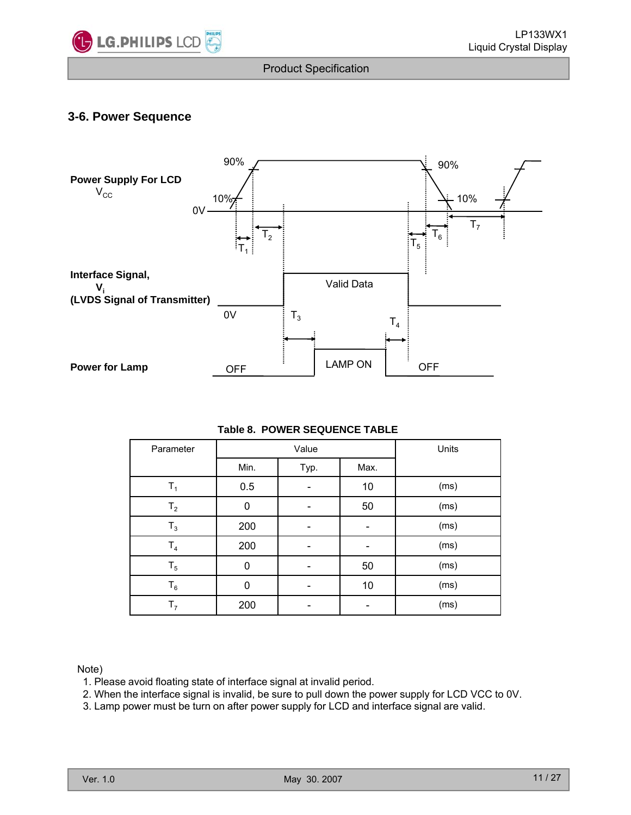

## **3-6. Power Sequence**



#### **Table 8. POWER SEQUENCE TABLE**

|          | Parameter                                                             |      | Value        |                              | Units                                                                                                                                                                                         |       |
|----------|-----------------------------------------------------------------------|------|--------------|------------------------------|-----------------------------------------------------------------------------------------------------------------------------------------------------------------------------------------------|-------|
|          |                                                                       | Min. | Typ.         | Max.                         |                                                                                                                                                                                               |       |
|          | $T_1$                                                                 | 0.5  |              | 10                           | (ms)                                                                                                                                                                                          |       |
|          | T <sub>2</sub>                                                        | 0    |              | 50                           | (ms)                                                                                                                                                                                          |       |
|          | $T_3$                                                                 | 200  |              |                              | (ms)                                                                                                                                                                                          |       |
|          | T <sub>4</sub>                                                        | 200  |              |                              | (ms)                                                                                                                                                                                          |       |
|          | $T_5$                                                                 | 0    |              | 50                           | (ms)                                                                                                                                                                                          |       |
|          | $T_6$                                                                 | 0    |              | 10                           | (ms)                                                                                                                                                                                          |       |
|          | T <sub>7</sub>                                                        | 200  |              | $\qquad \qquad \blacksquare$ | (ms)                                                                                                                                                                                          |       |
| lote)    | 1. Please avoid floating state of interface signal at invalid period. |      |              |                              | 2. When the interface signal is invalid, be sure to pull down the power supply for LCD VCC to 0V.<br>3. Lamp power must be turn on after power supply for LCD and interface signal are valid. |       |
| Ver. 1.0 |                                                                       |      | May 30. 2007 |                              |                                                                                                                                                                                               | 11/27 |

Note)

- 1. Please avoid floating state of interface signal at invalid period.
- 2. When the interface signal is invalid, be sure to pull down the power supply for LCD VCC to 0V.
- 3 Lamp power must be turn on after power supply for LCD and interface signal are valid 3. Lamp power must be turn on after power supply for LCD and interface signal are valid.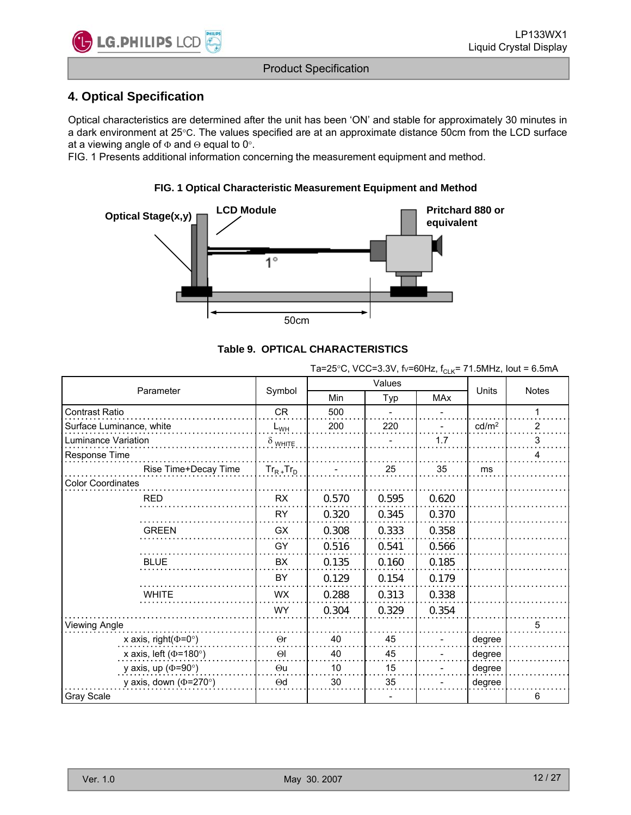

## **4. Optical Specification**

Optical characteristics are determined after the unit has been 'ON' and stable for approximately 30 minutes in a dark environment at 25°C. The values specified are at an approximate distance 50cm from the LCD surface at a viewing angle of  $\Phi$  and  $\Theta$  equal to 0°.

FIG. 1 Presents additional information concerning the measurement equipment and method.

**FIG. 1 Optical Characteristic Measurement Equipment and Method**





Ta=25°C, VCC=3.3V, fv=60Hz,  $f_{C-K}$ = 71.5MHz, lout = 6.5mA

|                              |                      |                 | Values |       |            |                   |                |
|------------------------------|----------------------|-----------------|--------|-------|------------|-------------------|----------------|
| Parameter                    |                      | Symbol          | Min    | Typ   | <b>MAx</b> | <b>Units</b>      | <b>Notes</b>   |
| <b>Contrast Ratio</b>        |                      | <b>CR</b>       | 500    |       |            |                   | 1              |
| Surface Luminance, white     |                      | $L_{WH}$        | 200    | 220   |            | cd/m <sup>2</sup> | $\overline{2}$ |
| Luminance Variation          |                      | $\delta$ white  |        |       | 1.7        |                   | 3              |
| Response Time                |                      |                 |        |       |            |                   | 4              |
|                              | Rise Time+Decay Time | $Tr_{R+}Tr_{D}$ |        | 25    | 35         | ms                |                |
| <b>Color Coordinates</b>     |                      |                 |        |       |            |                   |                |
| <b>RED</b>                   |                      | RX              | 0.570  | 0.595 | 0.620      |                   |                |
|                              |                      | <b>RY</b>       | 0.320  | 0.345 | 0.370      |                   |                |
| <b>GREEN</b>                 |                      | GX              | 0.308  | 0.333 | 0.358      |                   |                |
|                              |                      | GY              | 0.516  | 0.541 | 0.566      |                   |                |
| <b>BLUE</b>                  |                      | <b>BX</b>       | 0.135  | 0.160 | 0.185      |                   |                |
|                              |                      | BY              | 0.129  | 0.154 | 0.179      |                   |                |
| <b>WHITE</b>                 |                      | <b>WX</b>       | 0.288  | 0.313 | 0.338      |                   |                |
|                              |                      | <b>WY</b>       | 0.304  | 0.329 | 0.354      |                   |                |
| Viewing Angle                |                      |                 |        |       |            |                   | 5              |
| x axis, right( $\Phi$ =0°)   |                      | $\Theta$ r      | 40     | 45    |            | degree            |                |
| x axis, left ( $\Phi$ =180°) |                      | $\Theta$        | 40     | 45    |            | degree            |                |
| y axis, up ( $\Phi$ =90°)    |                      | $\Theta$ u      | 10     | 15    |            | degree            |                |
| y axis, down ( $\Phi$ =270°) |                      | $\Theta$ d      | 30     | 35    |            | degree            |                |
| Gray Scale                   |                      |                 |        |       |            |                   | 6              |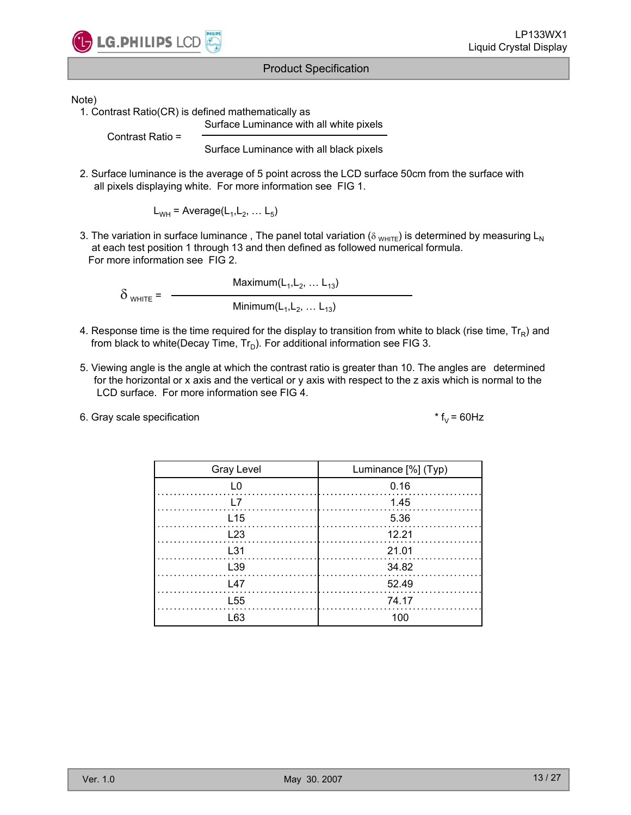

Note)

1. Contrast Ratio(CR) is defined mathematically as

Surface Luminance with all white pixels

Contrast Ratio =

Surface Luminance with all black pixels

2. Surface luminance is the average of 5 point across the LCD surface 50cm from the surface with all pixels displaying white. For more information see FIG 1.

 $L_{WH}$  = Average( $L_1, L_2, ... L_5$ )

3. The variation in surface luminance, The panel total variation ( $\delta_{WHTE}$ ) is determined by measuring L<sub>N</sub> at each test position 1 through 13 and then defined as followed numerical formula. For more information see FIG 2.

 $Maximum(L_1, L_2, \ldots L_{13})$  $\delta$  <sub>WHITE</sub> =  $Minimum(L_1, L_2, ... L_{13})$ 

- 4. Response time is the time required for the display to transition from white to black (rise time,  $Tr_R$ ) and from black to white(Decay Time,  $Tr_D$ ). For additional information see FIG 3.
- 5. Viewing angle is the angle at which the contrast ratio is greater than 10. The angles are determined for the horizontal or x axis and the vertical or y axis with respect to the z axis which is normal to the LCD surface. For more information see FIG 4.
- 6. Gray scale specification  $* f_V = 60 Hz$

| <b>Gray Level</b> | Luminance [%] (Typ) |
|-------------------|---------------------|
| ΙO                | 0.16                |
| I 7               | 1.45                |
| L <sub>15</sub>   | 5.36                |
| L23               | 12.21               |
| L31               | 21.01               |
| L39               | 34.82               |
| $\sqrt{47}$       | 52.49               |
| L <sub>55</sub>   | 74.17               |
| l 63              | 10 $\cap$           |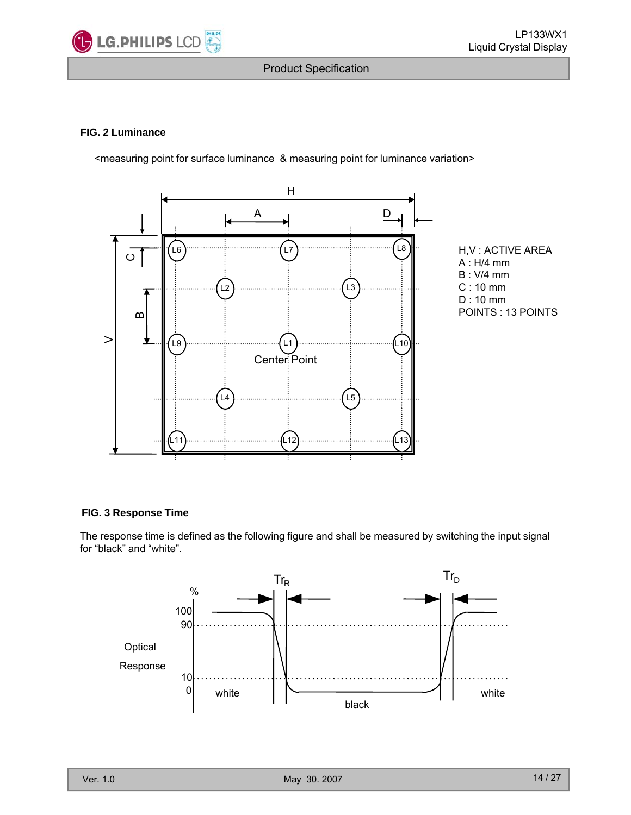

#### **FIG. 2 Luminance**

<measuring point for surface luminance & measuring point for luminance variation>



H,V : ACTIVE AREA A : H/4 mm B : V/4 mm C : 10 mm D : 10 mm POINTS : 13 POINTS

#### **FIG. 3 Response Time**

The response time is defined as the following figure and shall be measured by switching the input signal for "black" and "white".

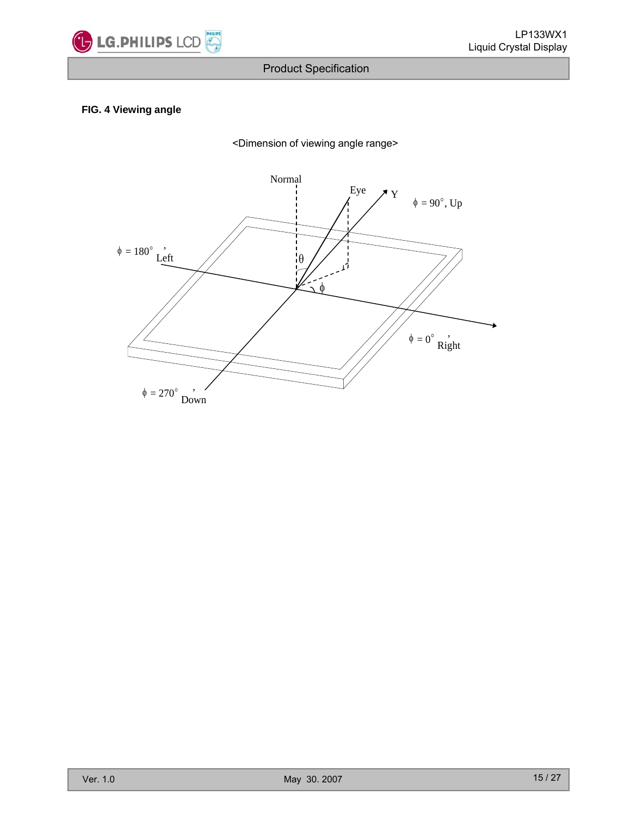

## **FIG. 4 Viewing angle**

<Dimension of viewing angle range>

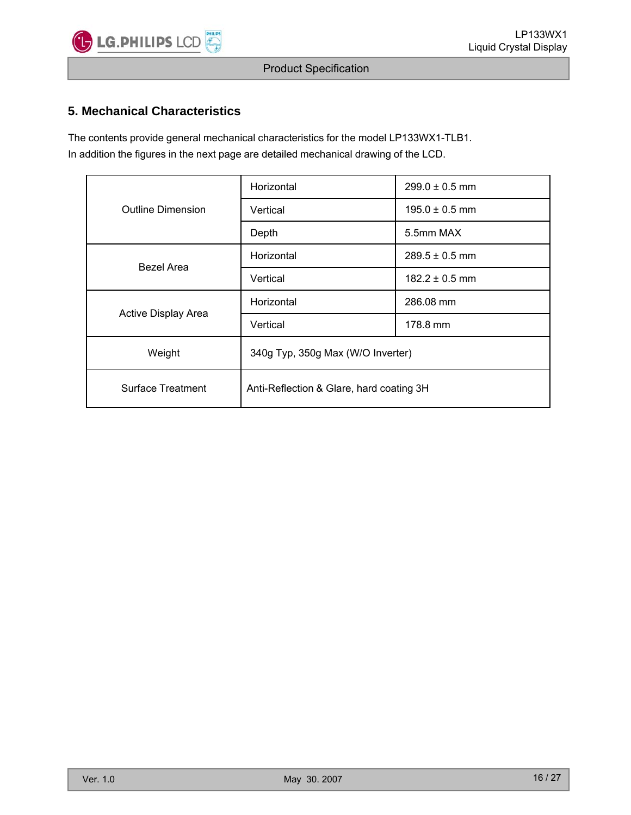

## **5. Mechanical Characteristics**

The contents provide general mechanical characteristics for the model LP133WX1-TLB1. In addition the figures in the next page are detailed mechanical drawing of the LCD.

|                          | Horizontal                               | $299.0 \pm 0.5$ mm |  |  |  |
|--------------------------|------------------------------------------|--------------------|--|--|--|
| <b>Outline Dimension</b> | Vertical                                 | $195.0 \pm 0.5$ mm |  |  |  |
|                          | Depth                                    | 5.5mm MAX          |  |  |  |
| Bezel Area               | Horizontal                               | $289.5 \pm 0.5$ mm |  |  |  |
|                          | Vertical                                 | $182.2 \pm 0.5$ mm |  |  |  |
| Active Display Area      | Horizontal                               | 286.08 mm          |  |  |  |
|                          | Vertical                                 | 178.8 mm           |  |  |  |
| Weight                   | 340g Typ, 350g Max (W/O Inverter)        |                    |  |  |  |
| Surface Treatment        | Anti-Reflection & Glare, hard coating 3H |                    |  |  |  |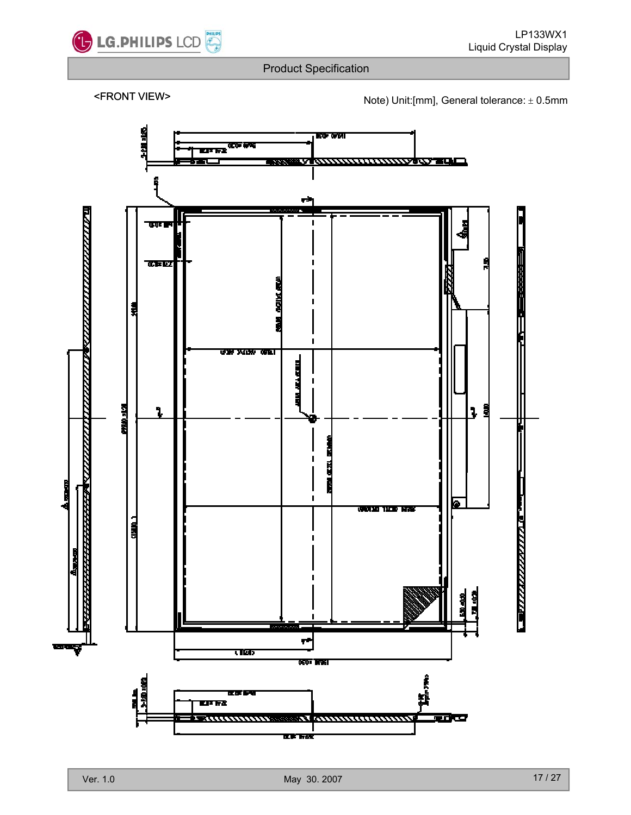

<FRONT VIEW> Note) Unit:[mm], General tolerance: <sup>±</sup> 0.5mm

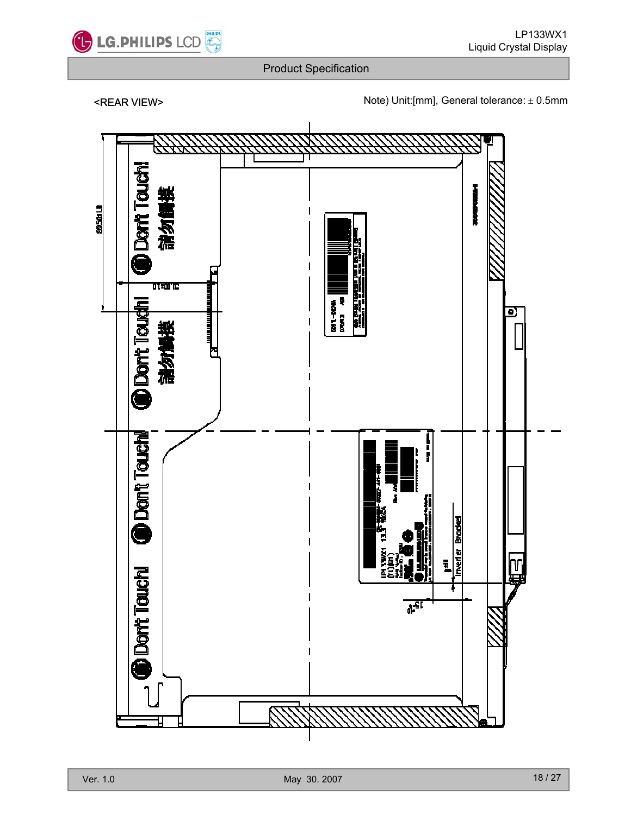

<REAR VIEW> Note) Unit:[mm], General tolerance: ± 0.5mm

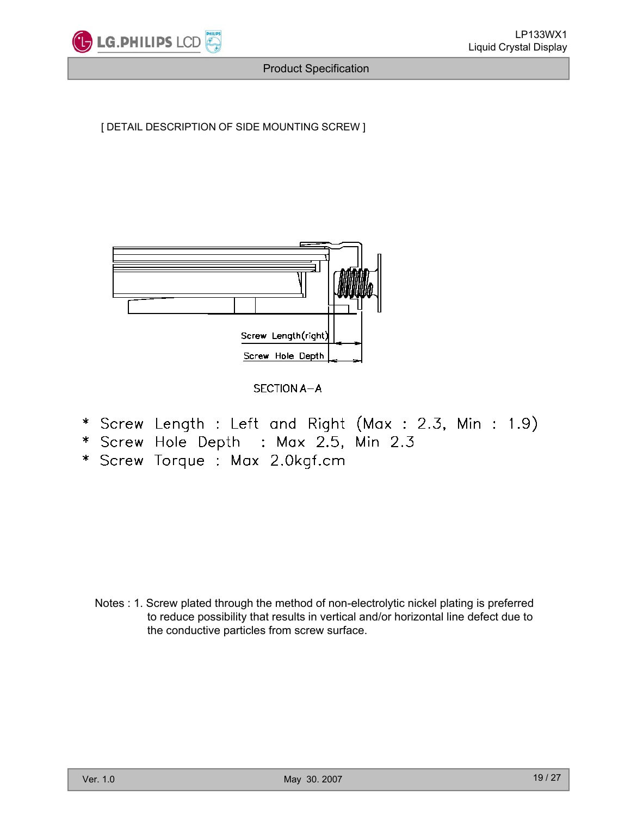

[ DETAIL DESCRIPTION OF SIDE MOUNTING SCREW ]



SECTION A-A

- \* Screw Length : Left and Right (Max : 2.3, Min : 1.9)
- \* Screw Hole Depth : Max 2.5, Min 2.3
- \* Screw Torque : Max 2.0kgf.cm

Notes : 1. Screw plated through the method of non-electrolytic nickel plating is preferred to reduce possibility that results in vertical and/or horizontal line defect due to the conductive particles from screw surface.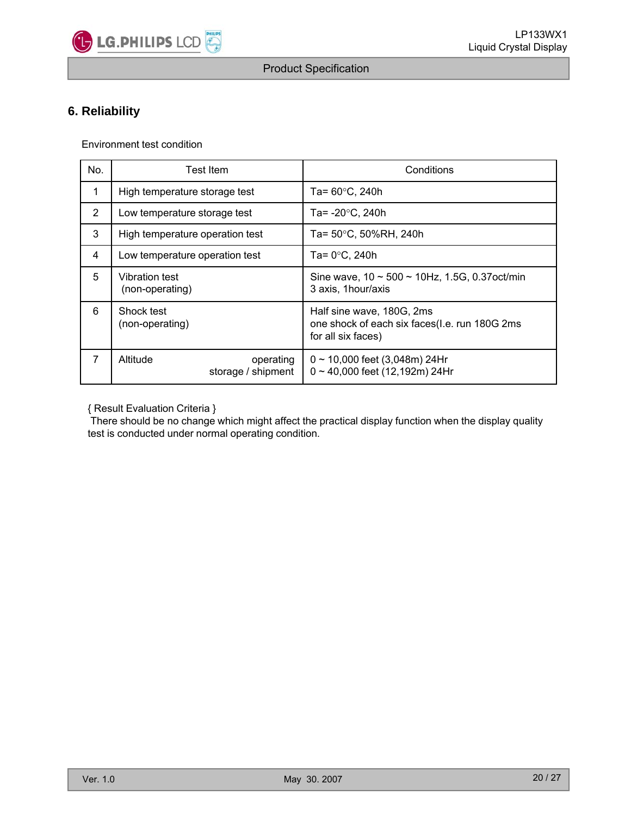

## **6. Reliability**

Environment test condition

| No. | Test Item                                   | Conditions                                                                                       |  |  |  |  |
|-----|---------------------------------------------|--------------------------------------------------------------------------------------------------|--|--|--|--|
|     | High temperature storage test               | Ta= $60^{\circ}$ C, 240h                                                                         |  |  |  |  |
| 2   | Low temperature storage test                | Ta= $-20^{\circ}$ C, 240h                                                                        |  |  |  |  |
| 3   | High temperature operation test             | Ta= 50°C, 50%RH, 240h                                                                            |  |  |  |  |
| 4   | Low temperature operation test              | Ta= $0^{\circ}$ C, 240h                                                                          |  |  |  |  |
| 5   | <b>Vibration test</b><br>(non-operating)    | Sine wave, $10 \sim 500 \sim 10$ Hz, 1.5G, 0.37 oct/min<br>3 axis, 1hour/axis                    |  |  |  |  |
| 6   | Shock test<br>(non-operating)               | Half sine wave, 180G, 2ms<br>one shock of each six faces(I.e. run 180G 2ms<br>for all six faces) |  |  |  |  |
| 7   | Altitude<br>operating<br>storage / shipment | $0 \sim 10,000$ feet (3,048m) 24Hr<br>$0 \sim 40,000$ feet (12,192m) 24Hr                        |  |  |  |  |

{ Result Evaluation Criteria } { Result Evaluation Criteria

There should be no change which might affect the practical display function when the display quality test is conducted under normal operating condition.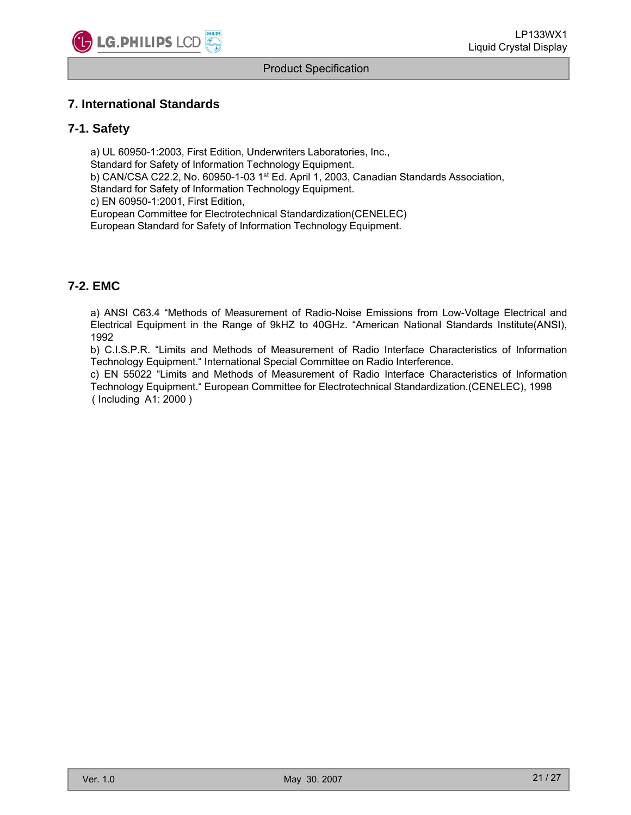

## **7 International Standards 7. International**

#### **7-1. Safety**

a) UL 60950-1:2003, First Edition, Underwriters Laboratories, Inc., Standard for Safety of Information Technology Equipment. b) CAN/CSA C22.2, No. 60950-1-03 1st Ed. April 1, 2003, Canadian Standards Association, Standard for Safety of Information Technology Equipment. c) EN 60950-1:2001, First Edition, European Committee for Electrotechnical Standardization(CENELEC) European Standard for Safety of Information Technology Equipment.

## **7-2. EMC**

a) ANSI C63.4 "Methods of Measurement of Radio-Noise Emissions from Low-Voltage Electrical and Electrical Equipment in the Range of 9kHZ to 40GHz. "American National Standards Institute(ANSI), 1992

b) C.I.S.P.R. "Limits and Methods of Measurement of Radio Interface Characteristics of Information Technology Equipment." International Special Committee on Radio Interference.

c) EN 55022 "Limits and Methods of Measurement of Radio Interface Characteristics of Information Technology Equipment." European Committee for Electrotechnical Standardization.(CENELEC), 1998 ( Including A1: 2000 )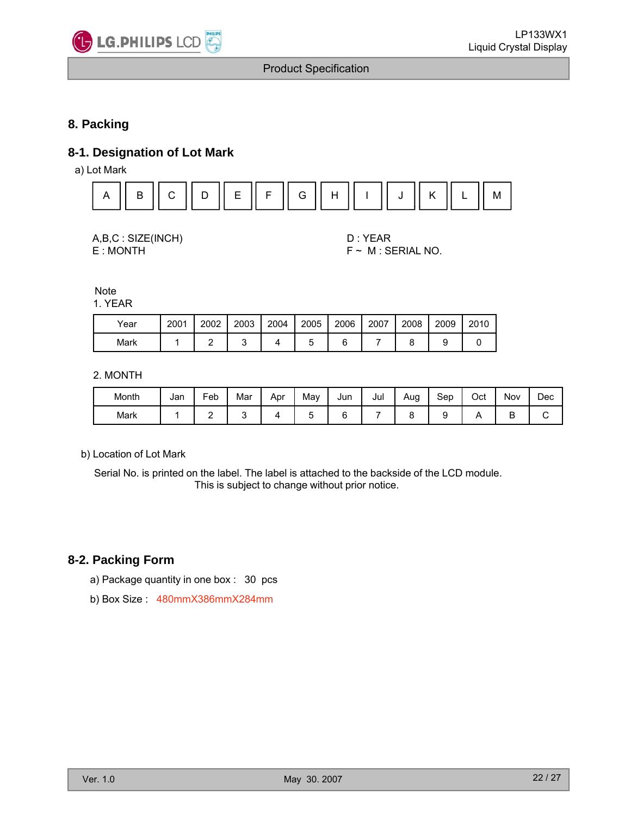

## **8. Packing**

## **8-1. Designation of Lot Mark**

a) Lot Mark



| A,B,C: SIZE(INCH) |
|-------------------|
| E:MONTH           |

D: YEAR  $F \sim M$  : SERIAL NO.

**Note** 1. YEAR

| Year | 2001 | 2002 | 2003 | 2004 | 2005 | 2006 | 2007 | 2008 | 2009 | 2010 |
|------|------|------|------|------|------|------|------|------|------|------|
| Mark |      |      | ັ    |      |      |      |      |      |      |      |

2. MONTH

| Month | Jan | Feb | . .<br>Mar | Apr | May | Jun | Jul | Aug<br>∼ | Sep | Oct | Nov | Dec |
|-------|-----|-----|------------|-----|-----|-----|-----|----------|-----|-----|-----|-----|
| Mark  |     | -   |            |     | ∼   |     |     |          | ∼   |     |     |     |

b) Location of Lot Mark

Serial No. is printed on the label. The label is attached to the backside of the LCD module. This is subject to change without prior notice.

### **8-2. Packing Form**

- a) Package quantity in one box : 30 pcs
- b) Box Size : 480mmX386mmX284mm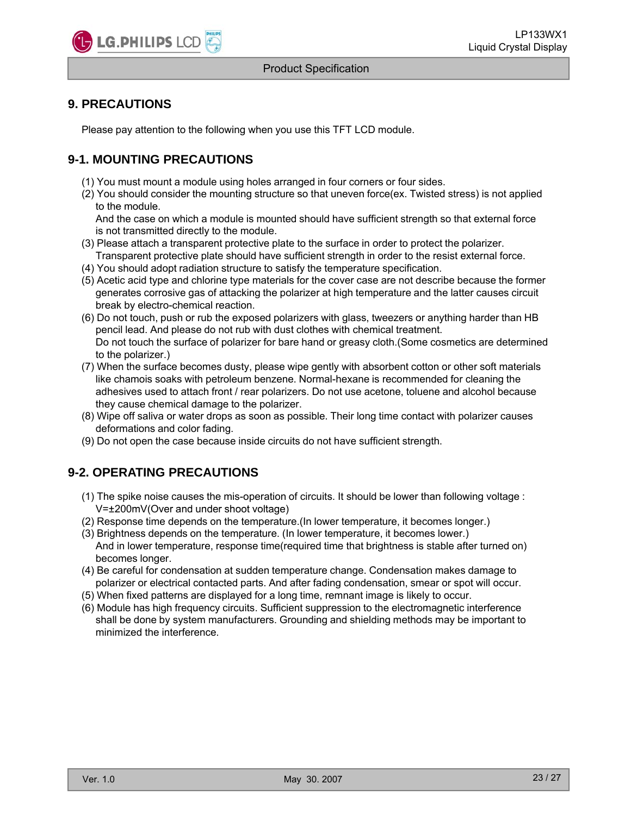

## **9 PRECAUTIONS 9.**

Please pay attention to the following when you use this TFT LCD module.

## **9-1. MOUNTING PRECAUTIONS**

- (1) You must mount a module using holes arranged in four corners or four sides.
- (2) You should consider the mounting structure so that uneven force(ex. Twisted stress) is not applied to the module.

And the case on which a module is mounted should have sufficient strength so that external force is not transmitted directly to the module.

- (3) Please attach a transparent protective plate to the surface in order to protect the polarizer. Transparent protective plate should have sufficient strength in order to the resist external force.
- (4) You should adopt radiation structure to satisfy the temperature specification.
- (5) Acetic acid type and chlorine type materials for the cover case are not describe because the former generates corrosive gas of attacking the polarizer at high temperature and the latter causes circuit break by electro-chemical reaction.
- (6) Do not touch, push or rub the exposed polarizers with glass, tweezers or anything harder than HB pencil lead. And please do not rub with dust clothes with chemical treatment. Do not touch the surface of polarizer for bare hand or greasy cloth.(Some cosmetics are determined to the polarizer.)
- (7) When the surface becomes dusty, please wipe gently with absorbent cotton or other soft materials like chamois soaks with petroleum benzene. Normal-hexane is recommended for cleaning the adhesives used to attach front / rear polarizers. Do not use acetone, toluene and alcohol because they cause chemical damage to the polarizer.
- (8) Wipe off saliva or water drops as soon as possible. Their long time contact with polarizer causes deformations and color fading.
- (9) Do not open the case because inside circuits do not have sufficient strength.

## **9-2. OPERATING PRECAUTIONS**

- (1) The spike noise causes the mis-operation of circuits. It should be lower than following voltage : V=±200mV(Over and under shoot voltage)
- (2) Response time depends on the temperature.(In lower temperature, it becomes longer.)
- (3) Brightness depends on the temperature. (In lower temperature, it becomes lower.) And in lower temperature, response time(required time that brightness is stable after turned on) becomes longer.
- (4) Be careful for condensation at sudden temperature change. Condensation makes damage to polarizer or electrical contacted parts. And after fading condensation, smear or spot will occur.
- (5) When fixed patterns are displayed for a long time, remnant image is likely to occur.
- (6) Module has high frequency circuits Sufficient suppression to the electromagnetic interference (6) Module has high frequency circuits. Sufficient suppression to the electromagnetic shall be done by system manufacturers. Grounding and shielding methods may be important to minimized the interference.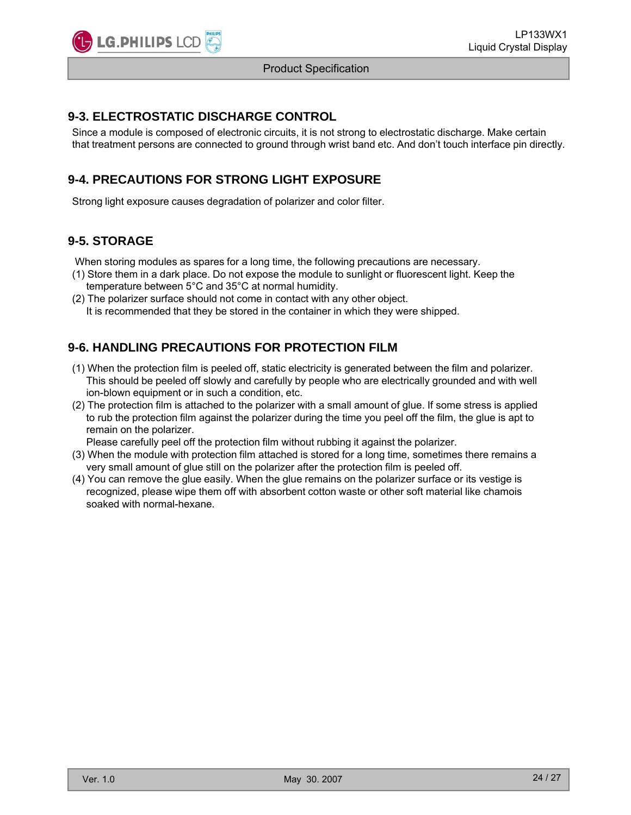

## **9-3. ELECTROSTATIC DISCHARGE CONTROL**

Since a module is composed of electronic circuits, it is not strong to electrostatic discharge. Make certain that treatment persons are connected to ground through wrist band etc. And don't touch interface pin directly.

## **9-4. PRECAUTIONS FOR STRONG LIGHT EXPOSURE**

Strong light exposure causes degradation of polarizer and color filter.

## **9-5. STORAGE**

When storing modules as spares for a long time, the following precautions are necessary.

- (1) Store them in a dark place. Do not expose the module to sunlight or fluorescent light. Keep the temperature between 5°C and 35°C at normal humidity.
- (2) The polarizer surface should not come in contact with any other object. It is recommended that they be stored in the container in which they were shipped.

## **9-6. HANDLING PRECAUTIONS FOR PROTECTION FILM**

- (1) When the protection film is peeled off, static electricity is generated between the film and polarizer. This should be peeled off slowly and carefully by people who are electrically grounded and with well ion-blown equipment or in such a condition, etc.
- (2) The protection film is attached to the polarizer with a small amount of glue. If some stress is applied to rub the protection film against the polarizer during the time you peel off the film, the glue is apt to remain on the polarizer.

Please carefully peel off the protection film without rubbing it against the polarizer.

- (3) When the module with protection film attached is stored for a long time, sometimes there remains a very small amount of glue still on the polarizer after the protection film is peeled off.
- (4) You can remove the glue easily. When the glue remains on the polarizer surface or its vestige is recognized, please wipe them off with absorbent cotton waste or other soft material like chamois soaked with normal-hexane.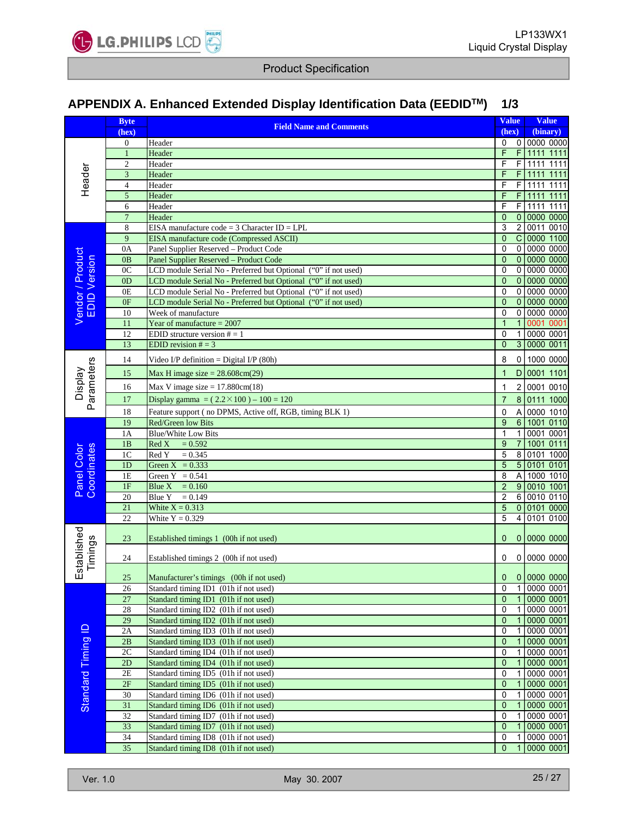

## **APPENDIX A Enhanced Extended Display Identification Data (EEDIDTM APPENDIX A. Enhanced Extended Display Identification Data (EEDID ) 1/3**

|                                  | <b>Byte</b>      |                                                                 | <b>Value</b>   |                         | <b>Value</b>    |
|----------------------------------|------------------|-----------------------------------------------------------------|----------------|-------------------------|-----------------|
|                                  | (hex)            | <b>Field Name and Comments</b>                                  | (hex)          |                         | (binary)        |
|                                  | $\boldsymbol{0}$ | Header                                                          | 0              | $\circ$                 | 0000 0000       |
|                                  | $\mathbf{1}$     | Header                                                          | F              | F                       | 1111 1111       |
|                                  | $\overline{c}$   | Header                                                          | F              | F                       | 1111<br>1111    |
| Header                           | 3                | Header                                                          | F              | F                       | 1111<br>1111    |
|                                  | 4                | Header                                                          | F              | $\overline{F}$          | 1111 1111       |
|                                  | 5                | Header                                                          | F              | $\mathsf{F}$            | 1111<br>1111    |
|                                  | 6                | Header                                                          | F              | $\overline{F}$          | 1111 1111       |
|                                  | $\overline{7}$   | Header                                                          | $\mathbf{0}$   | $\overline{0}$          | 0000 0000       |
|                                  | 8                | EISA manufacture code = $3$ Character ID = LPL                  | 3              | $\overline{2}$          | 0011 0010       |
|                                  | 9                | EISA manufacture code (Compressed ASCII)                        | $\mathbf{0}$   | $\overline{C}$          | 0000 1100       |
|                                  | 0A               | Panel Supplier Reserved - Product Code                          | 0              |                         | 0 0000 0000     |
| Vendor / Product<br>EDID Version | 0B               | Panel Supplier Reserved - Product Code                          | $\mathbf{0}$   | $\mathbf{0}$            | 0000 0000       |
|                                  | 0 <sub>C</sub>   | LCD module Serial No - Preferred but Optional ("0" if not used) | 0              | $\overline{0}$          | 0000 0000       |
|                                  | 0 <sub>D</sub>   | LCD module Serial No - Preferred but Optional ("0" if not used) | $\overline{0}$ | $\overline{0}$          | 0000 0000       |
|                                  | 0E               | LCD module Serial No - Preferred but Optional ("0" if not used) | $\overline{0}$ | $\overline{0}$          | 0000 0000       |
|                                  | 0F               | LCD module Serial No - Preferred but Optional ("0" if not used) | $\overline{0}$ | $\overline{0}$          | 0000 0000       |
|                                  | 10               | Week of manufacture                                             | 0              | $\overline{0}$          | 0000 0000       |
|                                  | 11               | Year of manufacture $= 2007$                                    | $\mathbf{1}$   | $\mathbf{1}$            | 0001<br>0001    |
|                                  | 12               | EDID structure version $# = 1$                                  | 0              | $\mathbf{1}$            | 0000 0001       |
|                                  | 13               | EDID revision $# = 3$                                           | $\mathbf{0}$   | $\overline{3}$          | 0000 0011       |
|                                  |                  |                                                                 |                |                         |                 |
|                                  | 14               | Video I/P definition = Digital I/P $(80h)$                      | 8              | $\overline{0}$          | 1000 0000       |
| Parameters                       | 15               | Max H image size $= 28.608$ cm(29)                              | $\overline{1}$ |                         | D 0001 1101     |
| <b>Display</b>                   | 16               | Max V image size $= 17.880cm(18)$                               | $\mathbf{1}$   | $\overline{2}$          | 0001 0010       |
|                                  |                  |                                                                 |                |                         |                 |
|                                  | 17               | Display gamma = $(2.2 \times 100) - 100 = 120$                  | $\overline{7}$ | $\overline{8}$          | 0111 1000       |
|                                  | 18               | Feature support (no DPMS, Active off, RGB, timing BLK 1)        | 0              | $\overline{\mathsf{A}}$ | 0000 1010       |
|                                  | 19               | Red/Green low Bits                                              | $\overline{9}$ | $6\overline{6}$         | 1001 0110       |
|                                  | 1A               | <b>Blue/White Low Bits</b>                                      | $\mathbf{1}$   | $\mathbf{1}$            | 0001 0001       |
|                                  | 1B               | Red X<br>$= 0.592$                                              | 9              | $\overline{7}$          | 1001 0111       |
| Panel Color<br>Coordinates       | 1 <sup>C</sup>   | Red Y<br>$= 0.345$                                              | 5              | $\overline{8}$          | 0101 1000       |
|                                  | 1 <sub>D</sub>   | Green $X = 0.333$                                               | $\overline{5}$ |                         | 5 0101 0101     |
|                                  | 1E               | Green $Y = 0.541$                                               | 8              | $\overline{A}$          | 1000 1010       |
|                                  | 1F               | Blue X<br>$= 0.160$                                             | $\overline{2}$ | $\overline{9}$          | 0010 1001       |
|                                  | 20               | <b>Blue Y</b><br>$= 0.149$                                      | $\overline{2}$ | $6\overline{6}$         | 0010 0110       |
|                                  | 21               | White $X = 0.313$                                               | $\overline{5}$ |                         | 0 0101 0000     |
|                                  | 22               | White $Y = 0.329$                                               | 5              | $\overline{4}$          | 0101 0100       |
| stablished                       | 23               | Established timings 1 (00h if not used)                         | $\mathbf{0}$   |                         | 0 0000 0000     |
|                                  |                  |                                                                 |                |                         |                 |
| Timings                          | 24               | Established timings 2 (00h if not used)                         | 0              |                         | 0 0000 0000     |
| ш                                | $25\,$           | Manufacturer's timings (00h if not used)                        |                |                         | $0$ 0 0000 0000 |
|                                  | 26               | Standard timing ID1 (01h if not used)                           | 0              | 1 <sup>1</sup>          | 0000 0001       |
|                                  | 27               | Standard timing ID1 (01h if not used)                           | $\mathbf{0}$   | 1                       | 0000 0001       |
|                                  | 28               | Standard timing ID2 (01h if not used)                           | 0              |                         | 0000 0001       |
|                                  | 29               | Standard timing ID2 (01h if not used)                           | $\mathbf{0}$   | $\mathbf{1}$            | 0000 0001       |
|                                  | 2A               | Standard timing ID3 (01h if not used)                           | 0              | 1                       | 0000 0001       |
|                                  | 2B               | Standard timing ID3 (01h if not used)                           | $\mathbf{0}$   |                         | 0000 0001       |
|                                  | 2C               | Standard timing ID4 (01h if not used)                           | 0              |                         | 0000 0001       |
|                                  | 2D               | Standard timing ID4 (01h if not used)                           | $\mathbf{0}$   | $\mathbf{1}$            | 0000 0001       |
|                                  | 2E               | Standard timing ID5 (01h if not used)                           | 0              | 1                       | 0000 0001       |
| Standard Timing ID               | 2F               | Standard timing ID5 (01h if not used)                           | 0              |                         | 0000 0001       |
|                                  | 30               | Standard timing ID6 (01h if not used)                           | 0              |                         | 0000 0001       |
|                                  | $\overline{31}$  | Standard timing ID6 (01h if not used)                           | $\overline{0}$ |                         | 0000 0001       |
|                                  | 32               | Standard timing ID7 (01h if not used)                           | 0              |                         | 0000 0001       |
|                                  | 33               | Standard timing ID7 (01h if not used)                           | $\mathbf{0}$   |                         | 0000 0001       |
|                                  | 34               | Standard timing ID8 (01h if not used)                           | 0              | $\mathbf{1}$            | 0000 0001       |
|                                  | 35               | Standard timing ID8 (01h if not used)                           | $\mathbf{0}$   | $\mathbf{1}$            | 0000 0001       |
|                                  |                  |                                                                 |                |                         |                 |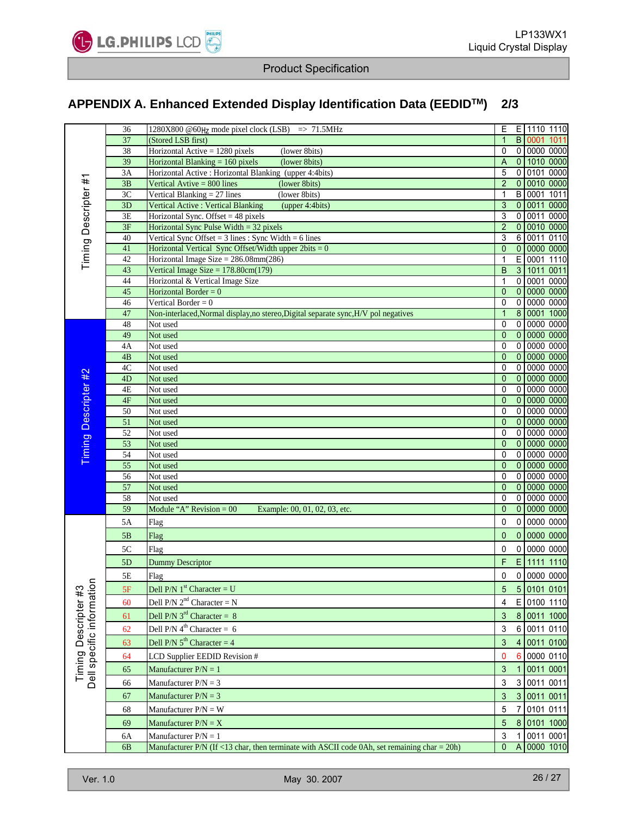

## **APPENDIX A. Enhanced Extended Display Identification Data (EEDID<sup>™</sup>) 2/3**

|                          | 36              | 1280X800 @60 $HZ$ mode pixel clock (LSB) => 71.5MHz                                            | Ε                         |                      | E 1110 1110              |
|--------------------------|-----------------|------------------------------------------------------------------------------------------------|---------------------------|----------------------|--------------------------|
|                          | 37              | (Stored LSB first)                                                                             | $\mathbf{1}$              |                      | <b>B</b> 0001<br>1011    |
|                          | 38              | Horizontal Active = $1280$ pixels<br>(lower 8bits)                                             | 0                         |                      | 0 00000000               |
|                          | 39              | Horizontal Blanking $= 160$ pixels<br>(lower 8bits)                                            | $\boldsymbol{\mathsf{A}}$ |                      | 0 1010 0000              |
|                          | 3A              | Horizontal Active : Horizontal Blanking (upper 4:4bits)                                        | 5                         |                      | 0 0101 0000              |
| Timing Descripter #1     | 3B              | (lower 8bits)<br>Vertical Avtive $= 800$ lines                                                 | $\overline{c}$            |                      | 0 0010 0000              |
|                          | 3C              | Vertical Blanking $= 27$ lines<br>(lower 8bits)                                                | 1                         |                      | B 0001 1011              |
|                          | 3D              | Vertical Active : Vertical Blanking<br>(upper 4:4bits)                                         | 3                         |                      | 0 0011 0000              |
|                          | 3E              | Horizontal Sync. Offset $=$ 48 pixels                                                          | 3                         |                      | 0 0011 0000              |
|                          | 3F              | Horizontal Sync Pulse Width $=$ 32 pixels                                                      | $\overline{c}$            |                      | 0 0010 0000              |
|                          | 40              | Vertical Sync Offset = $3$ lines : Sync Width = $6$ lines                                      | 3                         |                      | 6 0011 0110              |
|                          | 41              | Horizontal Vertical Sync Offset/Width upper $2bits = 0$                                        | $\mathbf{0}$              |                      | 0 0000 0000              |
|                          | 42              | Horizontal Image Size = $286.08$ mm $(286)$                                                    | 1                         | E.<br>3 <sup>1</sup> | 0001 1110                |
|                          | 43<br>44        | Vertical Image Size = $178.80cm(179)$                                                          | B<br>1                    |                      | 1011 0011<br>0 0001 0000 |
|                          | 45              | Horizontal & Vertical Image Size<br>Horizontal Border = $0$                                    | 0                         | $\overline{0}$       | 0000 0000                |
|                          | 46              | Vertical Border = $0$                                                                          | 0                         | $\overline{0}$       | 0000 0000                |
|                          | 47              | Non-interlaced, Normal display, no stereo, Digital separate sync, H/V pol negatives            | $\mathbf{1}$              | $\overline{8}$       | 0001 1000                |
|                          | 48              | Not used                                                                                       | 0                         |                      | 0 00000000               |
|                          | 49              | Not used                                                                                       | $\overline{0}$            |                      | 0   0000   0000          |
|                          | 4A              | Not used                                                                                       | 0                         |                      | 0 0000 0000              |
|                          | 4B              | Not used                                                                                       | 0                         |                      | 0   0000   0000          |
|                          | 4C              | Not used                                                                                       | 0                         |                      | 0 0000 0000              |
|                          | 4D              | Not used                                                                                       | $\overline{0}$            |                      | 0 0000 0000              |
|                          | 4E              | Not used                                                                                       | 0                         |                      | 0 0000 0000              |
|                          | 4F              | Not used                                                                                       | 0                         |                      | 0   0000   0000          |
|                          | 50              | Not used                                                                                       | 0                         |                      | 0 0000 0000              |
|                          | 51              | Not used                                                                                       | $\overline{0}$            |                      | 0   0000   0000          |
|                          | 52              | Not used                                                                                       | 0                         |                      | 0 0000 0000              |
| Timing Descripter #2     | $\overline{53}$ | Not used                                                                                       | 0                         |                      | 0 0000 0000              |
|                          | 54              | Not used                                                                                       | 0                         |                      | 0 0000 0000              |
|                          | $\overline{55}$ | Not used                                                                                       | 0                         |                      | 0 0000 0000              |
|                          | 56              | Not used                                                                                       | 0                         |                      | 0 0000 0000              |
|                          | 57              | Not used                                                                                       | $\overline{0}$            |                      | 0 0000 0000              |
|                          | 58              | Not used                                                                                       | 0                         |                      | 0 0000 0000              |
|                          | 59              | Module "A" Revision = $00$<br>Example: 00, 01, 02, 03, etc.                                    | $\overline{0}$            |                      | 0 0000 0000              |
|                          | 5A              | Flag                                                                                           | 0                         |                      | 0 0000 0000              |
|                          | 5B              | Flag                                                                                           | $\overline{0}$            |                      | 0 0000 0000              |
|                          | 5C              | Flag                                                                                           | 0                         |                      | 0 0000 0000              |
|                          |                 |                                                                                                |                           |                      |                          |
|                          | 5D              | <b>Dummy Descriptor</b>                                                                        | F                         |                      | E 1111 1110              |
| $\mathbf{C}$             | 5Ε              | Flag                                                                                           | 0                         |                      | 0 0000 0000              |
|                          | 5F              | Dell P/N $1st$ Character = U                                                                   | 5                         |                      | 5 0101 0101              |
|                          | 60              | Dell P/N $2nd$ Character = N                                                                   | 4                         |                      | E 0100 1110              |
|                          | 61              | Dell P/N $3^{rd}$ Character = 8                                                                | 3                         |                      | 8 0011 1000              |
|                          |                 | Dell P/N $4^{\text{th}}$ Character = 6                                                         | 3                         |                      | 6 0011 0110              |
|                          | 62              |                                                                                                |                           |                      |                          |
|                          | 63              | Dell P/N $5^{th}$ Character = 4                                                                | 3                         |                      | 4 0011 0100              |
|                          | 64              | LCD Supplier EEDID Revision #                                                                  | 0                         |                      | 6 0000 0110              |
| Timing Descripter #3     | 65              | Manufacturer $P/N = 1$                                                                         | 3                         |                      | 1 0011 0001              |
| Dell specific informatio | 66              | Manufacturer $P/N = 3$                                                                         | 3                         |                      | 3 0011 0011              |
|                          | 67              | Manufacturer $P/N = 3$                                                                         | 3                         |                      | 3 0011 0011              |
|                          |                 |                                                                                                |                           |                      |                          |
|                          | 68              | Manufacturer $P/N = W$                                                                         | 5                         |                      | 7 0101 0111              |
|                          | 69              | Manufacturer $P/N = X$                                                                         | 5                         |                      | 8 0101 1000              |
|                          | 6A              | Manufacturer $P/N = 1$                                                                         | 3                         |                      | 1 0011 0001              |
|                          | 6 <sub>B</sub>  | Manufacturer $P/N$ (If <13 char, then terminate with ASCII code 0Ah, set remaining char = 20h) | $\overline{0}$            |                      | A 0000 1010              |